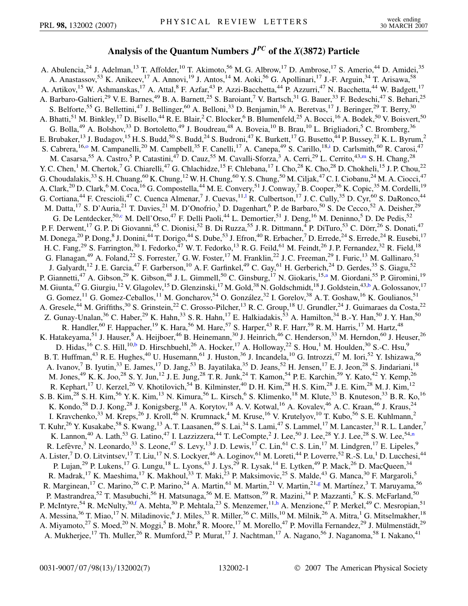## **Analysis of the Quantum Numbers** *JPC* **of the** *X***(3872) Particle**

<span id="page-0-8"></span><span id="page-0-7"></span><span id="page-0-6"></span><span id="page-0-5"></span><span id="page-0-4"></span><span id="page-0-3"></span><span id="page-0-2"></span><span id="page-0-1"></span><span id="page-0-0"></span>A. Abulencia,<sup>24</sup> J. Adelman,<sup>13</sup> T. Affolder,<sup>10</sup> T. Akimoto,<sup>56</sup> M. G. Albrow,<sup>17</sup> D. Ambrose,<sup>17</sup> S. Amerio,<sup>44</sup> D. Amidei,<sup>35</sup> A. Anastassov,<sup>53</sup> K. Anikeev,<sup>17</sup> A. Annovi,<sup>19</sup> J. Antos,<sup>14</sup> M. Aoki,<sup>56</sup> G. Apollinari,<sup>17</sup> J.-F. Arguin,<sup>34</sup> T. Arisawa,<sup>58</sup> A. Artikov,<sup>15</sup> W. Ashmanskas,<sup>17</sup> A. Attal,<sup>8</sup> F. Azfar,<sup>43</sup> P. Azzi-Bacchetta,<sup>44</sup> P. Azzurri,<sup>47</sup> N. Bacchetta,<sup>44</sup> W. Badgett,<sup>17</sup> A. Barbaro-Galtieri,<sup>29</sup> V. E. Barnes,<sup>49</sup> B. A. Barnett,<sup>25</sup> S. Baroiant,<sup>7</sup> V. Bartsch,<sup>31</sup> G. Bauer,<sup>33</sup> F. Bedeschi,<sup>47</sup> S. Behari,<sup>25</sup> S. Belforte,<sup>55</sup> G. Bellettini,<sup>47</sup> J. Bellinger,<sup>60</sup> A. Belloni,<sup>33</sup> D. Benjamin,<sup>16</sup> A. Beretvas,<sup>17</sup> J. Beringer,<sup>29</sup> T. Berry,<sup>30</sup> A. Bhatti,<sup>51</sup> M. Binkley,<sup>17</sup> D. Bisello,<sup>44</sup> R. E. Blair,<sup>2</sup> C. Blocker,<sup>6</sup> B. Blumenfeld,<sup>25</sup> A. Bocci,<sup>16</sup> A. Bodek,<sup>50</sup> V. Boisvert,<sup>50</sup> G. Bolla,<sup>49</sup> A. Bolshov,<sup>33</sup> D. Bortoletto,<sup>49</sup> J. Boudreau,<sup>48</sup> A. Boveia,<sup>10</sup> B. Brau,<sup>10</sup> L. Brigliadori,<sup>5</sup> C. Bromberg,<sup>36</sup> E. Brubaker,<sup>13</sup> J. Budagov,<sup>15</sup> H. S. Budd,<sup>50</sup> S. Budd,<sup>24</sup> S. Budroni,<sup>47</sup> K. Burkett,<sup>17</sup> G. Busetto,<sup>44</sup> P. Bussey,<sup>21</sup> K. L. Byrum,<sup>2</sup> S. Cabrera, <sup>16,[o](#page-6-0)</sup> M. Campanelli,<sup>20</sup> M. Campbell,<sup>35</sup> F. Canelli,<sup>17</sup> A. Canepa,<sup>49</sup> S. Carillo,<sup>18[,i](#page-5-0)</sup> D. Carlsmith,<sup>60</sup> R. Carosi,<sup>47</sup> M. Casarsa,<sup>55</sup> A. Castro,<sup>5</sup> P. Catastini,<sup>47</sup> D. Cauz,<sup>55</sup> M. Cavalli-Sforza,<sup>3</sup> A. Cerri,<sup>29</sup> L. Cerrito,<sup>43[,m](#page-6-1)</sup> S. H. Chang,<sup>28</sup> Y. C. Chen,<sup>1</sup> M. Chertok,<sup>7</sup> G. Chiarelli,<sup>47</sup> G. Chlachidze,<sup>15</sup> F. Chlebana,<sup>17</sup> I. Cho,<sup>28</sup> K. Cho,<sup>28</sup> D. Chokheli,<sup>15</sup> J. P. Chou,<sup>22</sup> G. Choudalakis,  $^{33}$  S. H. Chuang,  $^{60}$  K. Chung,  $^{12}$  W. H. Chung,  $^{60}$  Y. S. Chung,  $^{50}$  M. Ciljak,  $^{47}$  C. I. Ciobanu,  $^{24}$  M. A. Ciocci,  $^{47}$ A. Clark,<sup>20</sup> D. Clark,<sup>6</sup> M. Coca,<sup>16</sup> G. Compostella,<sup>44</sup> M. E. Convery,<sup>51</sup> J. Conway,<sup>7</sup> B. Cooper,<sup>36</sup> K. Copic,<sup>35</sup> M. Cordelli,<sup>19</sup> G. Cortiana,<sup>44</sup> F. Crescio[l](#page-6-2)i,<sup>47</sup> C. Cuenca Almenar,<sup>7</sup> J. Cuevas,<sup>11,1</sup> R. Culbertson,<sup>17</sup> J. C. Cully,<sup>35</sup> D. Cyr,<sup>60</sup> S. DaRonco,<sup>44</sup> M. Datta,<sup>17</sup> S. D'Auria,<sup>21</sup> T. Davies,<sup>21</sup> M. D'Onofrio,<sup>3</sup> D. Dagenhart,<sup>6</sup> P. de Barbaro,<sup>50</sup> S. De Cecco,<sup>52</sup> A. Deisher,<sup>29</sup> G. De Lentdecker,<sup>50[,c](#page-5-1)</sup> M. Dell'Orso,<sup>47</sup> F. Delli Paoli,<sup>44</sup> L. Demortier,<sup>51</sup> J. Deng,<sup>16</sup> M. Deninno,<sup>5</sup> D. De Pedis,<sup>52</sup> P. F. Derwent,<sup>17</sup> G. P. Di Giovanni,<sup>45</sup> C. Dionisi,<sup>52</sup> B. Di Ruzza,<sup>55</sup> J. R. Dittmann,<sup>4</sup> P. DiTuro,<sup>53</sup> C. Dörr,<sup>26</sup> S. Donati,<sup>47</sup> M. Donega,<sup>20</sup> P. Dong,<sup>8</sup> J. Donini,<sup>44</sup> T. Dorigo,<sup>44</sup> S. Dube,<sup>53</sup> J. Efron,<sup>40</sup> R. Erbacher,<sup>7</sup> D. Errede,<sup>24</sup> S. Errede,<sup>24</sup> R. Eusebi,<sup>17</sup> H. C. Fang,<sup>29</sup> S. Farrington,<sup>30</sup> I. Fedorko,<sup>47</sup> W. T. Fedorko,<sup>13</sup> R. G. Feild,<sup>61</sup> M. Feindt,<sup>26</sup> J. P. Fernandez,<sup>32</sup> R. Field,<sup>18</sup> G. Flanagan,<sup>49</sup> A. Foland,<sup>22</sup> S. Forrester,<sup>7</sup> G.W. Foster,<sup>17</sup> M. Franklin,<sup>22</sup> J.C. Freeman,<sup>29</sup> I. Furic,<sup>13</sup> M. Gallinaro,<sup>51</sup> J. Galyardt,<sup>12</sup> J. E. Garcia,<sup>47</sup> F. Garberson,<sup>10</sup> A. F. Garfinkel,<sup>49</sup> C. Gay,<sup>61</sup> H. Gerberich,<sup>24</sup> D. Gerdes,<sup>35</sup> S. Giagu,<sup>52</sup> P. Gi[a](#page-5-2)nnetti,<sup>47</sup> A. Gibson,<sup>29</sup> K. Gibson,<sup>48</sup> J. L. Gimmell,<sup>50</sup> C. Ginsburg,<sup>17</sup> N. Giokaris,<sup>15,a</sup> M. Giordani,<sup>55</sup> P. Giromini,<sup>19</sup> M. Giunta,<sup>47</sup> G. Giurgiu,<sup>12</sup> V. Glagolev,<sup>15</sup> D. Glenzinski,<sup>17</sup> M. Gold,<sup>38</sup> N. Goldschmidt,<sup>18</sup> J. Goldstein,<sup>43[,b](#page-5-3)</sup> A. Golossanov,<sup>17</sup> G. Gomez,<sup>11</sup> G. Gomez-Ceballos,<sup>11</sup> M. Goncharov,<sup>54</sup> O. González,<sup>32</sup> I. Gorelov,<sup>38</sup> A. T. Goshaw,<sup>16</sup> K. Goulianos,<sup>51</sup> A. Gresele,<sup>44</sup> M. Griffiths,<sup>30</sup> S. Grinstein,<sup>22</sup> C. Grosso-Pilcher,<sup>13</sup> R. C. Group,<sup>18</sup> U. Grundler,<sup>24</sup> J. Guimaraes da Costa,<sup>22</sup> Z. Gunay-Unalan,<sup>36</sup> C. Haber,<sup>29</sup> K. Hahn,<sup>33</sup> S. R. Hahn,<sup>17</sup> E. Halkiadakis,<sup>53</sup> A. Hamilton,<sup>34</sup> B.-Y. Han,<sup>50</sup> J. Y. Han,<sup>50</sup> R. Handler,<sup>60</sup> F. Happacher,<sup>19</sup> K. Hara,<sup>56</sup> M. Hare,<sup>57</sup> S. Harper,<sup>43</sup> R. F. Harr,<sup>59</sup> R. M. Harris,<sup>17</sup> M. Hartz,<sup>48</sup> K. Hatakeyama,<sup>51</sup> J. Hauser,<sup>8</sup> A. Heijboer,<sup>46</sup> B. Heinemann,<sup>30</sup> J. Heinrich,<sup>46</sup> C. Henderson,<sup>33</sup> M. Herndon,<sup>60</sup> J. Heuser,<sup>26</sup> D. Hidas, <sup>16</sup> C. S. Hill, <sup>10,[b](#page-5-3)</sup> D. Hirschbuehl, <sup>26</sup> A. Hocker, <sup>17</sup> A. Holloway, <sup>22</sup> S. Hou, <sup>1</sup> M. Houlden, <sup>30</sup> S.-C. Hsu, <sup>9</sup> B. T. Huffman,<sup>43</sup> R. E. Hughes,<sup>40</sup> U. Husemann,<sup>61</sup> J. Huston,<sup>36</sup> J. Incandela,<sup>10</sup> G. Introzzi,<sup>47</sup> M. Iori,<sup>52</sup> Y. Ishizawa,<sup>56</sup> A. Ivanov,<sup>7</sup> B. Iyutin,<sup>33</sup> E. James,<sup>17</sup> D. Jang,<sup>53</sup> B. Jayatilaka,<sup>35</sup> D. Jeans,<sup>52</sup> H. Jensen,<sup>17</sup> E. J. Jeon,<sup>28</sup> S. Jindariani,<sup>18</sup> M. Jones,<sup>49</sup> K. K. Joo,<sup>28</sup> S. Y. Jun,<sup>12</sup> J. E. Jung,<sup>28</sup> T. R. Junk,<sup>24</sup> T. Kamon,<sup>54</sup> P. E. Karchin,<sup>59</sup> Y. Kato,<sup>42</sup> Y. Kemp,<sup>26</sup> R. Kephart, <sup>17</sup> U. Kerzel, <sup>26</sup> V. Khotilovich, <sup>54</sup> B. Kilminster, <sup>40</sup> D. H. Kim, <sup>28</sup> H. S. Kim, <sup>28</sup> J. E. Kim, <sup>28</sup> M. J. Kim, <sup>12</sup> S. B. Kim,<sup>28</sup> S. H. Kim,<sup>56</sup> Y. K. Kim,<sup>13</sup> N. Kimura,<sup>56</sup> L. Kirsch,<sup>6</sup> S. Klimenko,<sup>18</sup> M. Klute,<sup>33</sup> B. Knuteson,<sup>33</sup> B. R. Ko,<sup>16</sup> K. Kondo,<sup>58</sup> D. J. Kong,<sup>28</sup> J. Konigsberg,<sup>18</sup> A. Korytov,<sup>18</sup> A. V. Kotwal,<sup>16</sup> A. Kovalev,<sup>46</sup> A. C. Kraan,<sup>46</sup> J. Kraus,<sup>24</sup> I. Kravchenko,<sup>33</sup> M. Kreps,<sup>26</sup> J. Kroll,<sup>46</sup> N. Krumnack,<sup>4</sup> M. Kruse,<sup>16</sup> V. Krutelyov,<sup>10</sup> T. Kubo,<sup>56</sup> S. E. Kuhlmann,<sup>2</sup> T. Kuhr,<sup>26</sup> Y. Kusakabe,<sup>58</sup> S. Kwang,<sup>13</sup> A. T. Laasanen,<sup>49</sup> S. Lai,<sup>34</sup> S. Lami,<sup>47</sup> S. Lammel,<sup>17</sup> M. Lancaster,<sup>31</sup> R. L. Lander,<sup>7</sup> K. La[n](#page-6-3)non,<sup>40</sup> A. Lath,<sup>53</sup> G. Latino,<sup>47</sup> I. Lazzizzera,<sup>44</sup> T. LeCompte,<sup>2</sup> J. Lee,<sup>50</sup> J. Lee,<sup>28</sup> Y. J. Lee,<sup>28</sup> S. W. Lee,<sup>54,n</sup> R. Lefèvre,<sup>3</sup> N. Leonardo,<sup>33</sup> S. Leone,<sup>47</sup> S. Levy,<sup>13</sup> J. D. Lewis,<sup>17</sup> C. Lin,<sup>61</sup> C. S. Lin,<sup>17</sup> M. Lindgren,<sup>17</sup> E. Lipeles,<sup>9</sup> A. Lister,<sup>7</sup> D. O. Litvintsev,<sup>17</sup> T. Liu,<sup>17</sup> N. S. Lockyer,<sup>46</sup> A. Loginov,<sup>61</sup> M. Loreti,<sup>44</sup> P. Loverre,<sup>52</sup> R.-S. Lu,<sup>1</sup> D. Lucchesi,<sup>44</sup> P. Lujan,<sup>29</sup> P. Lukens,<sup>17</sup> G. Lungu,<sup>18</sup> L. Lyons,<sup>43</sup> J. Lys,<sup>29</sup> R. Lysak,<sup>14</sup> E. Lytken,<sup>49</sup> P. Mack,<sup>26</sup> D. MacQueen,<sup>34</sup> R. Madrak,<sup>17</sup> K. Maeshima,<sup>17</sup> K. Makhoul,<sup>33</sup> T. Maki,<sup>23</sup> P. Maksimovic,<sup>25</sup> S. Malde,<sup>43</sup> G. Manca,<sup>30</sup> F. Margaroli,<sup>5</sup> R. Mar[g](#page-5-4)inean,<sup>17</sup> C. Marino,<sup>26</sup> C. P. Marino,<sup>24</sup> A. Martin,<sup>61</sup> M. Martin,<sup>21</sup> V. Martin,<sup>21,g</sup> M. Martínez,<sup>3</sup> T. Maruyama,<sup>56</sup> P. Mastrandrea,<sup>52</sup> T. Masubuchi,<sup>56</sup> H. Matsunaga,<sup>56</sup> M. E. Mattson,<sup>59</sup> R. Mazini,<sup>34</sup> P. Mazzanti,<sup>5</sup> K. S. McFarland,<sup>50</sup> P. McIntyre,<sup>54</sup> R. McNulty,<sup>30[,f](#page-5-5)</sup> A. Me[h](#page-5-6)ta,<sup>30</sup> P. Mehtala,<sup>23</sup> S. Menzemer,<sup>11,h</sup> A. Menzione,<sup>47</sup> P. Merkel,<sup>49</sup> C. Mesropian,<sup>51</sup> A. Messina,<sup>36</sup> T. Miao,<sup>17</sup> N. Miladinovic,<sup>6</sup> J. Miles,<sup>33</sup> R. Miller,<sup>36</sup> C. Mills,<sup>10</sup> M. Milnik,<sup>26</sup> A. Mitra,<sup>1</sup> G. Mitselmakher,<sup>18</sup> A. Miyamoto,<sup>27</sup> S. Moed,<sup>20</sup> N. Moggi,<sup>5</sup> B. Mohr,<sup>8</sup> R. Moore,<sup>17</sup> M. Morello,<sup>47</sup> P. Movilla Fernandez,<sup>29</sup> J. Mülmenstädt,<sup>29</sup> A. Mukherjee,<sup>17</sup> Th. Muller,<sup>26</sup> R. Mumford,<sup>25</sup> P. Murat,<sup>17</sup> J. Nachtman,<sup>17</sup> A. Nagano,<sup>56</sup> J. Naganoma,<sup>58</sup> I. Nakano,<sup>41</sup>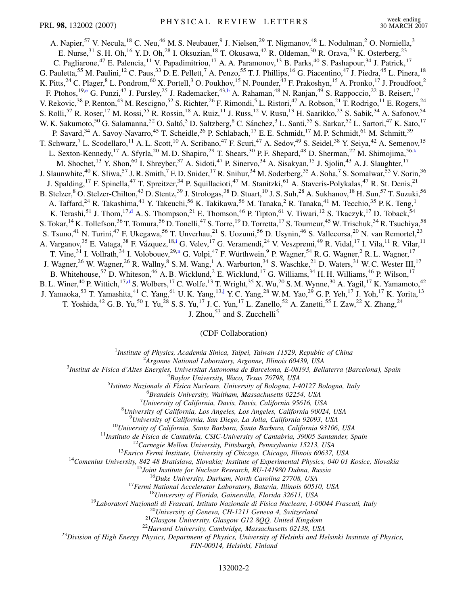<span id="page-1-3"></span><span id="page-1-1"></span>A. Napier,<sup>57</sup> V. Necula,<sup>18</sup> C. Neu,<sup>46</sup> M. S. Neubauer,<sup>9</sup> J. Nielsen,<sup>29</sup> T. Nigmanov,<sup>48</sup> L. Nodulman,<sup>2</sup> O. Norniella,<sup>3</sup> E. Nurse,  $31$  S. H. Oh,  $16$  Y. D. Oh,  $28$  I. Oksuzian,  $18$  T. Okusawa,  $42$  R. Oldeman,  $30$  R. Orava,  $23$  K. Osterberg,  $23$ C. Pagliarone,<sup>47</sup> E. Palencia,<sup>11</sup> V. Papadimitriou,<sup>17</sup> A. A. Paramonov,<sup>13</sup> B. Parks,<sup>40</sup> S. Pashapour,<sup>34</sup> J. Patrick,<sup>17</sup> G. Pauletta,<sup>55</sup> M. Paulini,<sup>12</sup> C. Paus,<sup>33</sup> D. E. Pellett,<sup>7</sup> A. Penzo,<sup>55</sup> T. J. Phillips,<sup>16</sup> G. Piacentino,<sup>47</sup> J. Piedra,<sup>45</sup> L. Pinera,<sup>18</sup> K. Pitts,<sup>24</sup> C. Plager,<sup>8</sup> L. Pondrom,<sup>60</sup> X. Portell,<sup>3</sup> O. Poukhov,<sup>15</sup> N. Pounder,<sup>43</sup> F. Prakoshyn,<sup>15</sup> A. Pronko,<sup>17</sup> J. Proudfoot,<sup>2</sup> F. Ptohos,<sup>19,[e](#page-5-7)</sup> G. Punzi,<sup>47</sup> J. Pursley,<sup>25</sup> J. Rademacker,<sup>43,[b](#page-5-3)</sup> A. Rahaman,<sup>48</sup> N. Ranjan,<sup>49</sup> S. Rappoccio,<sup>22</sup> B. Reisert,<sup>17</sup> V. Rekovic,<sup>38</sup> P. Renton,<sup>43</sup> M. Rescigno,<sup>52</sup> S. Richter,<sup>26</sup> F. Rimondi,<sup>5</sup> L. Ristori,<sup>47</sup> A. Robson,<sup>21</sup> T. Rodrigo,<sup>11</sup> E. Rogers,<sup>24</sup> S. Rolli,<sup>57</sup> R. Roser,<sup>17</sup> M. Rossi,<sup>55</sup> R. Rossin,<sup>18</sup> A. Ruiz,<sup>11</sup> J. Russ,<sup>12</sup> V. Rusu,<sup>13</sup> H. Saarikko,<sup>23</sup> S. Sabik,<sup>34</sup> A. Safonov,<sup>54</sup> W. K. Sakumoto,<sup>50</sup> G. Salamanna,<sup>52</sup> O. Saltó,<sup>3</sup> D. Saltzberg,<sup>8</sup> C. Sánchez,<sup>3</sup> L. Santi,<sup>55</sup> S. Sarkar,<sup>52</sup> L. Sartori,<sup>47</sup> K. Sato,<sup>17</sup> P. Savard,<sup>34</sup> A. Savoy-Navarro,<sup>45</sup> T. Scheidle,<sup>26</sup> P. Schlabach,<sup>17</sup> E. E. Schmidt,<sup>17</sup> M. P. Schmidt,<sup>61</sup> M. Schmitt,<sup>39</sup> T. Schwarz,<sup>7</sup> L. Scodellaro,<sup>11</sup> A. L. Scott,<sup>10</sup> A. Scribano,<sup>47</sup> F. Scuri,<sup>47</sup> A. Sedov,<sup>49</sup> S. Seidel,<sup>38</sup> Y. Seiya,<sup>42</sup> A. Semenov,<sup>15</sup> L. Sexton-Kennedy,<sup>17</sup> A. Sfyrla,<sup>20</sup> M. D. Shapiro,<sup>29</sup> T. Shears,<sup>30</sup> P. F. Shepard,<sup>48</sup> D. Sherman,<sup>22</sup> M. Shimojima,<sup>56[,k](#page-6-4)</sup> M. Shochet,<sup>13</sup> Y. Shon,<sup>60</sup> I. Shreyber,<sup>37</sup> A. Sidoti,<sup>47</sup> P. Sinervo,<sup>34</sup> A. Sisakyan,<sup>15</sup> J. Sjolin,<sup>43</sup> A. J. Slaughter,<sup>17</sup> J. Slaunwhite,<sup>40</sup> K. Sliwa,<sup>57</sup> J. R. Smith,<sup>7</sup> F. D. Snider,<sup>17</sup> R. Snihur,<sup>34</sup> M. Soderberg,<sup>35</sup> A. Soha,<sup>7</sup> S. Somalwar,<sup>53</sup> V. Sorin,<sup>36</sup> J. Spalding,<sup>17</sup> F. Spinella,<sup>47</sup> T. Spreitzer,<sup>34</sup> P. Squillacioti,<sup>47</sup> M. Stanitzki,<sup>61</sup> A. Staveris-Polykalas,<sup>47</sup> R. St. Denis,<sup>21</sup> B. Stelzer, <sup>8</sup> O. Stelzer-Chilton, <sup>43</sup> D. Stentz, <sup>39</sup> J. Strologas, <sup>38</sup> D. Stuart, <sup>10</sup> J. S. Suh, <sup>28</sup> A. Sukhanov, <sup>18</sup> H. Sun, <sup>57</sup> T. Suzuki, <sup>56</sup> A. Taffard,<sup>24</sup> R. Takashima,<sup>41</sup> Y. Takeuchi,<sup>56</sup> K. Takikawa,<sup>56</sup> M. Tanaka,<sup>2</sup> R. Tanaka,<sup>41</sup> M. Tecchio,<sup>35</sup> P. K. Teng,<sup>1</sup> K. Terashi,<sup>51</sup> J. Thom,<sup>17[,d](#page-5-8)</sup> A. S. Thompson,<sup>21</sup> E. Thomson,<sup>46</sup> P. Tipton,<sup>61</sup> V. Tiwari,<sup>12</sup> S. Tkaczyk,<sup>17</sup> D. Toback,<sup>54</sup> S. Tokar, <sup>14</sup> K. Tollefson, <sup>36</sup> T. Tomura, <sup>56</sup> D. Tonelli, <sup>47</sup> S. Torre, <sup>19</sup> D. Torretta, <sup>17</sup> S. Tourneur, <sup>45</sup> W. Trischuk, <sup>34</sup> R. Tsuchiya, <sup>58</sup> S. Tsuno,<sup>41</sup> N. Turini,<sup>47</sup> F. Ukegawa,<sup>56</sup> T. Unverhau,<sup>21</sup> S. Uozumi,<sup>56</sup> D. Usynin,<sup>46</sup> S. Vallecorsa,<sup>20</sup> N. van Remortel,<sup>23</sup> A. Varganov,<sup>35</sup> E. Vataga,<sup>38</sup> F. Vázquez,<sup>18,[i](#page-5-0)</sup> G. Velev,<sup>17</sup> G. Veramendi,<sup>24</sup> V. Veszpremi,<sup>49</sup> R. Vidal,<sup>17</sup> I. Vila,<sup>11</sup> R. Vilar,<sup>11</sup> T. Vine,<sup>31</sup> I. Vollrath,<sup>34</sup> I. Volobouev,<sup>29[,n](#page-6-3)</sup> G. Volpi,<sup>47</sup> F. Würthwein,<sup>9</sup> P. Wagner,<sup>54</sup> R. G. Wagner,<sup>2</sup> R. L. Wagner,<sup>17</sup> J. Wagner,<sup>26</sup> W. Wagner,<sup>26</sup> R. Wallny,<sup>8</sup> S. M. Wang,<sup>1</sup> A. Warburton,<sup>34</sup> S. Waschke,<sup>21</sup> D. Waters,<sup>31</sup> W. C. Wester III,<sup>17</sup> B. Whitehouse,<sup>57</sup> D. Whiteson,<sup>46</sup> A. B. Wicklund,<sup>2</sup> E. Wicklund,<sup>17</sup> G. Williams,<sup>34</sup> H. H. Williams,<sup>46</sup> P. Wilson,<sup>17</sup> B. L. Winer,<sup>40</sup> P. Wittich,<sup>17[,d](#page-5-8)</sup> S. Wolbers,<sup>17</sup> C. Wolfe,<sup>13</sup> T. Wright,<sup>35</sup> X. Wu,<sup>20</sup> S. M. Wynne,<sup>30</sup> A. Yagil,<sup>17</sup> K. Yamamoto,<sup>42</sup> J. Yamaoka,<sup>53</sup> T. Yamashita,<sup>41</sup> C. Yang,<sup>61</sup> U.K. Yang,<sup>13,[j](#page-5-9)</sup> Y.C. Yang,<sup>28</sup> W.M. Yao,<sup>29</sup> G.P. Yeh,<sup>17</sup> J. Yoh,<sup>17</sup> K. Yorita,<sup>13</sup> T. Yoshida,<sup>42</sup> G. B. Yu,<sup>50</sup> I. Yu,<sup>28</sup> S. S. Yu,<sup>17</sup> J. C. Yun,<sup>17</sup> L. Zanello,<sup>52</sup> A. Zanetti,<sup>55</sup> I. Zaw,<sup>22</sup> X. Zhang,<sup>24</sup>

J. Zhou, $^{53}$  and S. Zucchelli<sup>5</sup>

## (CDF Collaboration)

<sup>1</sup>*Institute of Physics, Academia Sinica, Taipei, Taiwan 11529, Republic of China*<br><sup>2</sup><sup>4</sup> *Languna National Laboratory, Argonna Illinois 60430, USA* 

<span id="page-1-2"></span><span id="page-1-0"></span>*Argonne National Laboratory, Argonne, Illinois 60439, USA*<br><sup>3</sup> Institut de Fisica d'Altes Fnergies, Universitat Autonoma de Barcelona, F. 08103, Bell

*Institut de Fisica d'Altes Energies, Universitat Autonoma de Barcelona, E-08193, Bellaterra (Barcelona), Spain* <sup>4</sup>

<sup>4</sup>Baylor University, Waco, Texas 76798, USA<br><sup>5</sup> Istitute Nazionale di Fisica Nucleare, University of Bologna, La

*Istituto Nazionale di Fisica Nucleare, University of Bologna, I-40127 Bologna, Italy* <sup>6</sup>

*Brandeis University, Waltham, Massachusetts 02254, USA* <sup>7</sup>

*University of California, Davis, Davis, California 95616, USA* <sup>8</sup>

*University of California, Los Angeles, Los Angeles, California 90024, USA* <sup>9</sup>

<sup>9</sup>University of California, San Diego, La Jolla, California 92093, USA<br><sup>10</sup>University of California, Santa Barbara, Santa Barbara, California 93106, USA<br><sup>11</sup>Instituto de Fisica de Cantabria, CSIC-University of Cantabria,

*FIN-00014, Helsinki, Finland*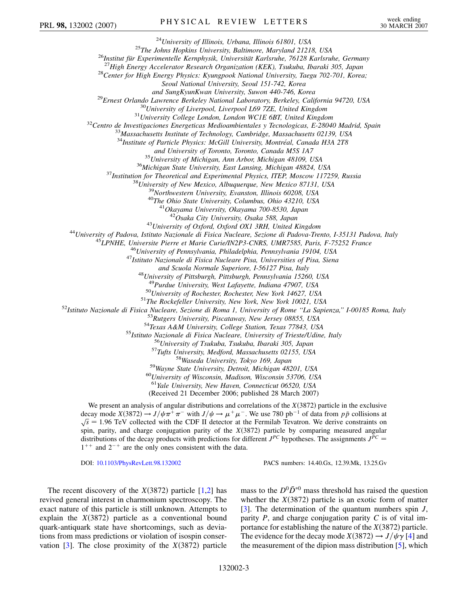<sup>24</sup>University of Illinois, Urbana, Illinois 61801, USA<br><sup>25</sup>The Johns Hopkins University, Baltimore, Maryland 21218, USA<br><sup>26</sup>Institut für Experimentelle Kernphysik, Universität Karlsruhe, 76128 Karlsruhe, Germany<br><sup>27</sup>High

*Seoul National University, Seoul 151-742, Korea*

and SungKyunKwan University, Suwon 440-746, Korea<br><sup>29</sup>Ernest Orlando Lawrence Berkeley National Laboratory, Berkeley, California 94720, USA<br><sup>30</sup>University of Liverpool, Liverpool L69 7ZE, United Kingdom<br><sup>31</sup>University Col

<sup>34</sup>*Institute of Particle Physics: McGill University, Montréal, Canada H3A 2T8*<br>and University of Toronto, Toronto, Canada M5S 1A7

<sup>35</sup> University of Michigan, Ann Arbor, Michigan 48109, USA<br><sup>36</sup> Michigan State University, East Lansing, Michigan 48824, USA<br><sup>37</sup> Institution for Theoretical and Experimental Physics, ITEP, Moscow 117259, Russia<br><sup>38</sup> Uni

<sup>43</sup>University of Oxford, Oxford OX1 3RH, United Kingdom<br><sup>44</sup>University of Padova, Istituto Nazionale di Fisica Nucleare, Sezione di Padova-Trento, I-35131 Padova, Italy<br><sup>45</sup>LPNHE, Universite Pierre et Marie Curie/IN2P3-C

*and Scuola Normale Superiore, I-56127 Pisa, Italy* <sup>48</sup>*University of Pittsburgh, Pittsburgh, Pennsylvania 15260, USA*

<sup>49</sup>Purdue University, West Lafayette, Indiana 47907, USA<br>
<sup>50</sup>University of Rochester, Rochester, New York 14627, USA<br>
<sup>52</sup>Istituto Nazionale di Fisica Nucleare, Secione di Roma 1, University of Rochester, New York, New

<sup>61</sup>*Yale University, New Haven, Connecticut 06520, USA*

(Received 21 December 2006; published 28 March 2007)

We present an analysis of angular distributions and correlations of the  $X(3872)$  particle in the exclusive decay mode  $X(3872) \rightarrow J/\psi \pi^+ \pi^-$  with  $J/\psi \rightarrow \mu^+ \mu^-$ . We use 780 pb<sup>-1</sup> of data from  $p\bar{p}$  collisions at  $\bar{E} = 1.06$  TeV collected with the CDE II detector at the Formilah Tayatron. We derive constraints on  $\sqrt{s}$  = 1.96 TeV collected with the CDF II detector at the Fermilab Tevatron. We derive constraints on spin, parity, and charge conjugation parity of the *X*(3872) particle by comparing measured angular distributions of the decay products with predictions for different  $J^{PC}$  hypotheses. The assignments  $J^{PC}$  $1^{++}$  and  $2^{-+}$  are the only ones consistent with the data.

DOI: [10.1103/PhysRevLett.98.132002](http://dx.doi.org/10.1103/PhysRevLett.98.132002) PACS numbers: 14.40.Gx, 12.39.Mk, 13.25.Gv

The recent discovery of the  $X(3872)$  particle [[1](#page-6-5),[2\]](#page-6-6) has revived general interest in charmonium spectroscopy. The exact nature of this particle is still unknown. Attempts to explain the  $X(3872)$  particle as a conventional bound quark-antiquark state have shortcomings, such as deviations from mass predictions or violation of isospin conservation  $[3]$  $[3]$ . The close proximity of the  $X(3872)$  particle

mass to the  $D^0 \overline{D}^{*0}$  mass threshold has raised the question whether the  $X(3872)$  particle is an exotic form of matter [\[3\]](#page-6-7). The determination of the quantum numbers spin *J*, parity *P*, and charge conjugation parity *C* is of vital importance for establishing the nature of the  $X(3872)$  particle. The evidence for the decay mode  $X(3872) \rightarrow J/\psi \gamma$  [\[4](#page-6-8)] and the measurement of the dipion mass distribution [[5](#page-6-9)], which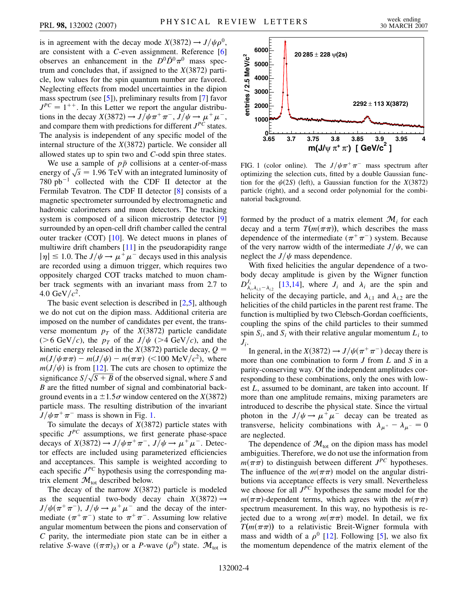is in agreement with the decay mode  $X(3872) \rightarrow J/\psi \rho^0$ , are consistent with a *C*-even assignment. Reference [\[6\]](#page-6-10) observes an enhancement in the  $D^0\overline{D}^0\pi^0$  mass spectrum and concludes that, if assigned to the  $X(3872)$  particle, low values for the spin quantum number are favored. Neglecting effects from model uncertainties in the dipion mass spectrum (see [\[5](#page-6-9)]), preliminary results from [[7](#page-6-11)] favor  $J^{PC} = 1^{++}$ . In this Letter we report the angular distributions in the decay  $X(3872) \rightarrow J/\psi \pi^+ \pi^-$ ,  $J/\psi \rightarrow \mu^+ \mu^-$ , and compare them with predictions for different  $J^{PC}$  states. The analysis is independent of any specific model of the internal structure of the  $X(3872)$  particle. We consider all allowed states up to spin two and *C*-odd spin three states.

We use a sample of  $p\bar{p}$  collisions at a center-of-mass we use a sample of  $pp$  comsions at a center-or-mass<br>energy of  $\sqrt{s} = 1.96$  TeV with an integrated luminosity of 780 pb<sup>-1</sup> collected with the CDF II detector at the Fermilab Tevatron. The CDF II detector [\[8](#page-6-12)] consists of a magnetic spectrometer surrounded by electromagnetic and hadronic calorimeters and muon detectors. The tracking system is composed of a silicon microstrip detector [\[9\]](#page-6-13) surrounded by an open-cell drift chamber called the central outer tracker (COT) [[10](#page-6-14)]. We detect muons in planes of multiwire drift chambers [[11](#page-6-15)] in the pseudorapidity range  $|\eta| \leq 1.0$ . The  $J/\psi \rightarrow \mu^+ \mu^-$  decays used in this analysis are recorded using a dimuon trigger, which requires two oppositely charged COT tracks matched to muon chamber track segments with an invariant mass from 2.7 to 4.0 GeV/ $c^2$ .

The basic event selection is described in [\[2,](#page-6-6)[5](#page-6-9)], although we do not cut on the dipion mass. Additional criteria are imposed on the number of candidates per event, the transverse momentum  $p<sub>T</sub>$  of the *X*(3872) particle candidate ( $>6$  GeV/c), the  $p<sub>T</sub>$  of the  $J/\psi$  ( $>4$  GeV/c), and the kinetic energy released in the  $X(3872)$  particle decay,  $Q =$  $m(J/\psi \pi \pi) - m(J/\psi) - m(\pi \pi)$  (<100 MeV/ $c^2$ ), where  $m(J/\psi)$  is from [\[12\]](#page-6-16). The cuts are chosen to optimize the  $m(J/\psi)$  is from [12]. The cuts are chosen to optimize the significance  $S/\sqrt{S+B}$  of the observed signal, where *S* and *B* are the fitted number of signal and combinatorial background events in a  $\pm 1.5 \sigma$  window centered on the *X*(3872) particle mass. The resulting distribution of the invariant  $J/\psi \pi^+ \pi^-$  mass is shown in Fig. [1.](#page-3-0)

To simulate the decays of  $X(3872)$  particle states with specific *JPC* assumptions, we first generate phase-space decays of  $X(3872) \rightarrow J/\psi \pi^+ \pi^-$ ,  $J/\psi \rightarrow \mu^+ \mu^-$ . Detector effects are included using parameterized efficiencies and acceptances. This sample is weighted according to each specific  $J^{PC}$  hypothesis using the corresponding matrix element  $\mathcal{M}_{\text{tot}}$  described below.

The decay of the narrow  $X(3872)$  particle is modeled as the sequential two-body decay chain  $X(3872) \rightarrow$  $J/\psi(\pi^+\pi^-)$ ,  $J/\psi \rightarrow \mu^+\mu^-$  and the decay of the intermediate  $(\pi^+ \pi^-)$  state to  $\pi^+ \pi^-$ . Assuming low relative angular momentum between the pions and conservation of *C* parity, the intermediate pion state can be in either a relative *S*-wave  $((\pi \pi)_S)$  or a *P*-wave  $(\rho^0)$  state.  $\mathcal{M}_{tot}$  is

<span id="page-3-0"></span>

FIG. 1 (color online). The  $J/\psi \pi^+ \pi^-$  mass spectrum after optimizing the selection cuts, fitted by a double Gaussian function for the  $\psi(2S)$  (left), a Gaussian function for the *X*(3872) particle (right), and a second order polynomial for the combinatorial background.

formed by the product of a matrix element  $\mathcal{M}_i$  for each decay and a term  $T(m(\pi \pi))$ , which describes the mass dependence of the intermediate  $(\pi^+ \pi^-)$  system. Because of the very narrow width of the intermediate  $J/\psi$ , we can neglect the  $J/\psi$  mass dependence.

With fixed helicities the angular dependence of a twobody decay amplitude is given by the Wigner function  $D_{\lambda_i, \lambda_{i,1}-\lambda_{i,2}}^{J_i}$  [\[13](#page-6-17)[,14\]](#page-6-18), where  $J_i$  and  $\lambda_i$  are the spin and helicity of the decaying particle, and  $\lambda_{i,1}$  and  $\lambda_{i,2}$  are the helicities of the child particles in the parent rest frame. The function is multiplied by two Clebsch-Gordan coefficients, coupling the spins of the child particles to their summed spin  $S_i$ , and  $S_i$  with their relative angular momentum  $L_i$  to  $J_i$ .

In general, in the  $X(3872) \rightarrow J/\psi(\pi^+\pi^-)$  decay there is more than one combination to form *J* from *L* and *S* in a parity-conserving way. Of the independent amplitudes corresponding to these combinations, only the ones with lowest *L*, assumed to be dominant, are taken into account. If more than one amplitude remains, mixing parameters are introduced to describe the physical state. Since the virtual photon in the  $J/\psi \rightarrow \mu^+ \mu^-$  decay can be treated as transverse, helicity combinations with  $\lambda_{\mu^+} - \lambda_{\mu^-} = 0$ are neglected.

The dependence of  $\mathcal{M}_{\text{tot}}$  on the dipion mass has model ambiguities. Therefore, we do not use the information from  $m(\pi \pi)$  to distinguish between different  $J^{PC}$  hypotheses. The influence of the  $m(\pi\pi)$  model on the angular distributions via acceptance effects is very small. Nevertheless we choose for all *JPC* hypotheses the same model for the  $m(\pi\pi)$ -dependent terms, which agrees with the  $m(\pi\pi)$ spectrum measurement. In this way, no hypothesis is rejected due to a wrong  $m(\pi\pi)$  model. In detail, we fix  $T(m(\pi \pi))$  to a relativistic Breit-Wigner formula with mass and width of a  $\rho^0$  [\[12\]](#page-6-16). Following [[5](#page-6-9)], we also fix the momentum dependence of the matrix element of the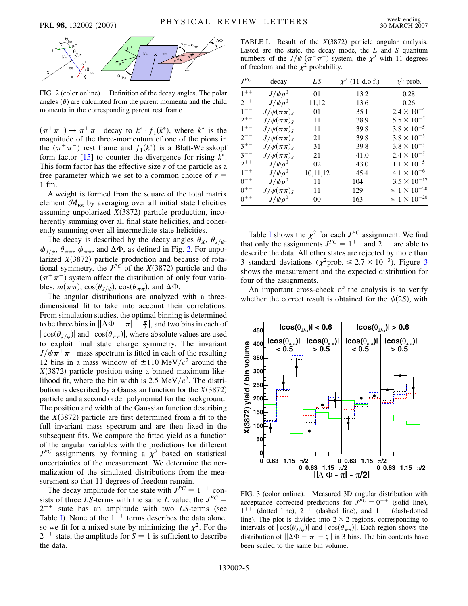<span id="page-4-0"></span>

FIG. 2 (color online). Definition of the decay angles. The polar angles  $(\theta)$  are calculated from the parent momenta and the child momenta in the corresponding parent rest frame.

 $(\pi^+\pi^-) \rightarrow \pi^+\pi^-$  decay to  $k^* \cdot f_1(k^*)$ , where  $k^*$  is the magnitude of the three-momentum of one of the pions in the  $(\pi^+\pi^-)$  rest frame and  $f_1(k^*)$  is a Blatt-Weisskopf form factor  $[15]$  to counter the divergence for rising  $k^*$ . This form factor has the effective size *r* of the particle as a free parameter which we set to a common choice of  $r =$ 1 fm.

A weight is formed from the square of the total matrix element  $\mathcal{M}_{\text{tot}}$  by averaging over all initial state helicities assuming unpolarized  $X(3872)$  particle production, incoherently summing over all final state helicities, and coherently summing over all intermediate state helicities.

The decay is described by the decay angles  $\theta_X$ ,  $\theta_{J/\psi}$ ,  $\phi_{J/\psi}, \theta_{\pi\pi}, \phi_{\pi\pi}$ , and  $\Delta\Phi$ , as defined in Fig. [2.](#page-4-0) For unpolarized  $X(3872)$  particle production and because of rotational symmetry, the  $J^{PC}$  of the  $X(3872)$  particle and the  $(\pi^+\pi^-)$  system affect the distribution of only four variables:  $m(\pi \pi)$ ,  $\cos(\theta_{J/\psi})$ ,  $\cos(\theta_{\pi \pi})$ , and  $\Delta \Phi$ .

The angular distributions are analyzed with a threedimensional fit to take into account their correlations. From simulation studies, the optimal binning is determined to be three bins in  $\left| |\Delta \Phi - \pi| - \frac{\pi}{2} \right|$ , and two bins in each of  $|\cos(\theta_{J/\psi})|$  and  $|\cos(\theta_{\pi\pi})|$ , where absolute values are used to exploit final state charge symmetry. The invariant  $J/\psi \pi^+ \pi^-$  mass spectrum is fitted in each of the resulting 12 bins in a mass window of  $\pm 110 \text{ MeV}/c^2$  around the  $X(3872)$  particle position using a binned maximum likelihood fit, where the bin width is 2.5 MeV $/c^2$ . The distribution is described by a Gaussian function for the  $X(3872)$ particle and a second order polynomial for the background. The position and width of the Gaussian function describing the  $X(3872)$  particle are first determined from a fit to the full invariant mass spectrum and are then fixed in the subsequent fits. We compare the fitted yield as a function of the angular variables with the predictions for different  $J^{PC}$  assignments by forming a  $\chi^2$  based on statistical uncertainties of the measurement. We determine the normalization of the simulated distributions from the measurement so that 11 degrees of freedom remain.

The decay amplitude for the state with  $J^{PC} = 1^{-+}$  consists of three *LS*-terms with the same *L* value; the  $J^{PC}$  =  $2^{-+}$  state has an amplitude with two *LS*-terms (see Table I). None of the  $1^{-+}$  terms describes the data alone, so we fit for a mixed state by minimizing the  $\chi^2$ . For the  $2^{-+}$  state, the amplitude for  $S = 1$  is sufficient to describe the data.

TABLE I. Result of the  $X(3872)$  particle angular analysis. Listed are the state, the decay mode, the *L* and *S* quantum numbers of the  $J/\psi$ - $(\pi^+\pi^-)$  system, the  $\chi^2$  with 11 degrees of freedom and the  $\chi^2$  probability.

| $J^{PC}$ | decay              | LS       | $\chi^2$ (11 d.o.f.) | $\chi^2$ prob.           |
|----------|--------------------|----------|----------------------|--------------------------|
| $1^{++}$ | $J/\psi \rho^0$    | 01       | 13.2                 | 0.28                     |
| $2^{-+}$ | $J/\psi \rho^0$    | 11,12    | 13.6                 | 0.26                     |
| $1^{--}$ | $J/\psi(\pi\pi)_S$ | 01       | 35.1                 | $2.4 \times 10^{-4}$     |
| $2^{+-}$ | $J/\psi(\pi\pi)_S$ | 11       | 38.9                 | $5.5 \times 10^{-5}$     |
| $1^{+-}$ | $J/\psi(\pi\pi)_S$ | 11       | 39.8                 | $3.8 \times 10^{-5}$     |
| $2^{-}$  | $J/\psi(\pi\pi)_S$ | 21       | 39.8                 | $3.8 \times 10^{-5}$     |
| $3^{+-}$ | $J/\psi(\pi\pi)_S$ | 31       | 39.8                 | $3.8 \times 10^{-5}$     |
| $3^{--}$ | $J/\psi(\pi\pi)_S$ | 21       | 41.0                 | $2.4 \times 10^{-5}$     |
| $2^{++}$ | $J/\psi \rho^0$    | 02       | 43.0                 | $1.1 \times 10^{-5}$     |
| $1^{-+}$ | $J/\psi \rho^0$    | 10,11,12 | 45.4                 | $4.1 \times 10^{-6}$     |
| $0^{-+}$ | $J/\psi \rho^0$    | 11       | 104                  | $3.5 \times 10^{-17}$    |
| $0^{+-}$ | $J/\psi(\pi\pi)_S$ | 11       | 129                  | $\leq 1 \times 10^{-20}$ |
| $0^{++}$ | $J/\psi \rho^0$    | $00\,$   | 163                  | $\leq 1 \times 10^{-20}$ |

Table I shows the  $\chi^2$  for each  $J^{PC}$  assignment. We find that only the assignments  $J^{PC} = 1^{++}$  and  $2^{-+}$  are able to describe the data. All other states are rejected by more than [3](#page-4-1) standard deviations ( $\chi^2$ prob.  $\leq 2.7 \times 10^{-3}$ ). Figure 3 shows the measurement and the expected distribution for four of the assignments.

An important cross-check of the analysis is to verify whether the correct result is obtained for the  $\psi(2S)$ , with

<span id="page-4-1"></span>

FIG. 3 (color online). Measured 3D angular distribution with acceptance corrected predictions for  $J^{PC} = 0^{++}$  (solid line),  $1^{++}$  (dotted line),  $2^{-+}$  (dashed line), and  $1^{--}$  (dash-dotted line). The plot is divided into  $2 \times 2$  regions, corresponding to intervals of  $|\cos(\theta_{J/\psi})|$  and  $|\cos(\theta_{\pi\pi})|$ . Each region shows the distribution of  $\left| \Delta \Phi - \pi \right| - \frac{\pi}{2}$  in 3 bins. The bin contents have been scaled to the same bin volume.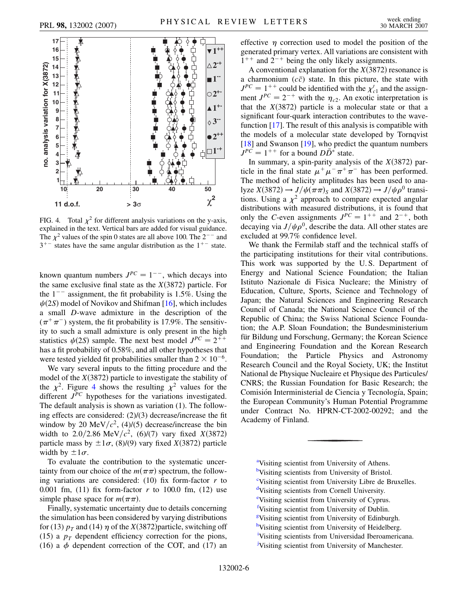<span id="page-5-10"></span>

FIG. 4. Total  $\chi^2$  for different analysis variations on the y-axis, explained in the text. Vertical bars are added for visual guidance. The  $\chi^2$  values of the spin 0 states are all above 100. The  $2^{-}$  and  $3^{+-}$  states have the same angular distribution as the  $1^{+-}$  state.

known quantum numbers  $J^{PC} = 1^{--}$ , which decays into the same exclusive final state as the  $X(3872)$  particle. For the  $1<sup>-</sup>$  assignment, the fit probability is 1.5%. Using the  $\psi(2S)$  model of Novikov and Shifman [[16\]](#page-6-20), which includes a small *D*-wave admixture in the description of the  $(\pi^+\pi^-)$  system, the fit probability is 17.9%. The sensitivity to such a small admixture is only present in the high statistics  $\psi(2S)$  sample. The next best model  $J^{PC} = 2^{++}$ has a fit probability of 0.58%, and all other hypotheses that were tested yielded fit probabilities smaller than  $2 \times 10^{-6}$ .

We vary several inputs to the fitting procedure and the model of the  $X(3872)$  particle to investigate the stability of the  $\chi^2$ . Figure [4](#page-5-10) shows the resulting  $\chi^2$  values for the different  $J^{PC}$  hypotheses for the variations investigated. The default analysis is shown as variation (1). The following effects are considered: (2)/(3) decrease/increase the fit window by 20 MeV/ $c^2$ , (4)/(5) decrease/increase the bin width to 2.0/2.86 MeV/ $c^2$ , (6)/(7) vary fixed *X*(3872) particle mass by  $\pm 1\sigma$ , (8)/(9) vary fixed *X*(3872) particle width by  $\pm 1\sigma$ .

To evaluate the contribution to the systematic uncertainty from our choice of the  $m(\pi\pi)$  spectrum, the following variations are considered:  $(10)$  fix form-factor  $r$  to 0.001 fm, (11) fix form-factor *r* to 100.0 fm, (12) use simple phase space for  $m(\pi\pi)$ .

Finally, systematic uncertainty due to details concerning the simulation has been considered by varying distributions for (13)  $p_T$  and (14)  $\eta$  of the *X*(3872) particle, switching off (15) a  $p_T$  dependent efficiency correction for the pions, (16) a  $\phi$  dependent correction of the COT, and (17) an effective  $\eta$  correction used to model the position of the generated primary vertex. All variations are consistent with  $1^{++}$  and  $2^{-+}$  being the only likely assignments.

A conventional explanation for the  $X(3872)$  resonance is a charmonium  $(c\bar{c})$  state. In this picture, the state with  $J^{PC} = 1^{++}$  could be identified with the  $\chi'_{c1}$  and the assignment  $J^{PC} = 2^{-+}$  with the  $\eta_{c2}$ . An exotic interpretation is that the  $X(3872)$  particle is a molecular state or that a significant four-quark interaction contributes to the wavefunction [[17](#page-6-21)]. The result of this analysis is compatible with the models of a molecular state developed by Tornqvist [\[18\]](#page-6-22) and Swanson [[19](#page-6-23)], who predict the quantum numbers  $J^{PC} = 1^{++}$  for a bound  $D\overline{D}^*$  state.

In summary, a spin-parity analysis of the  $X(3872)$  particle in the final state  $\mu^+ \mu^- \pi^+ \pi^-$  has been performed. The method of helicity amplitudes has been used to analyze  $X(3872) \rightarrow J/\psi(\pi \pi)_S$  and  $X(3872) \rightarrow J/\psi \rho^0$  transitions. Using a  $\chi^2$  approach to compare expected angular distributions with measured distributions, it is found that only the *C*-even assignments  $J^{PC} = 1^{++}$  and  $2^{-+}$ , both decaying via  $J/\psi \rho^0$ , describe the data. All other states are excluded at 99.7% confidence level.

We thank the Fermilab staff and the technical staffs of the participating institutions for their vital contributions. This work was supported by the U. S. Department of Energy and National Science Foundation; the Italian Istituto Nazionale di Fisica Nucleare; the Ministry of Education, Culture, Sports, Science and Technology of Japan; the Natural Sciences and Engineering Research Council of Canada; the National Science Council of the Republic of China; the Swiss National Science Foundation; the A.P. Sloan Foundation; the Bundesministerium für Bildung und Forschung, Germany; the Korean Science and Engineering Foundation and the Korean Research Foundation; the Particle Physics and Astronomy Research Council and the Royal Society, UK; the Institut National de Physique Nucleaire et Physique des Particules/ CNRS; the Russian Foundation for Basic Research; the Comisión Interministerial de Ciencia y Tecnología, Spain; the European Community's Human Potential Programme under Contract No. HPRN-CT-2002-00292; and the Academy of Finland.

<span id="page-5-9"></span><span id="page-5-8"></span><span id="page-5-7"></span><span id="page-5-6"></span><span id="page-5-5"></span><span id="page-5-4"></span><span id="page-5-3"></span><span id="page-5-2"></span><span id="page-5-1"></span><span id="page-5-0"></span><sup>[a](#page-0-0)</sup>Visiting scientist from University of Athens. **[b](#page-0-1)**Visiting scientists from University of Bristol. [c](#page-0-2) Visiting scientist from University Libre de Bruxelles. [d](#page-1-0)Visiting scientists from Cornell University. [e](#page-1-1)Visiting scientist from University of Cyprus. [f](#page-0-3) Visiting scientist from University of Dublin. [g](#page-0-4) Visiting scientist from University of Edinburgh. [h](#page-0-3)Visiting scientist from University of Heidelberg. [i](#page-0-5) Visiting scientists from Universidad Iberoamericana. Visiting scientist from University of Manchester.